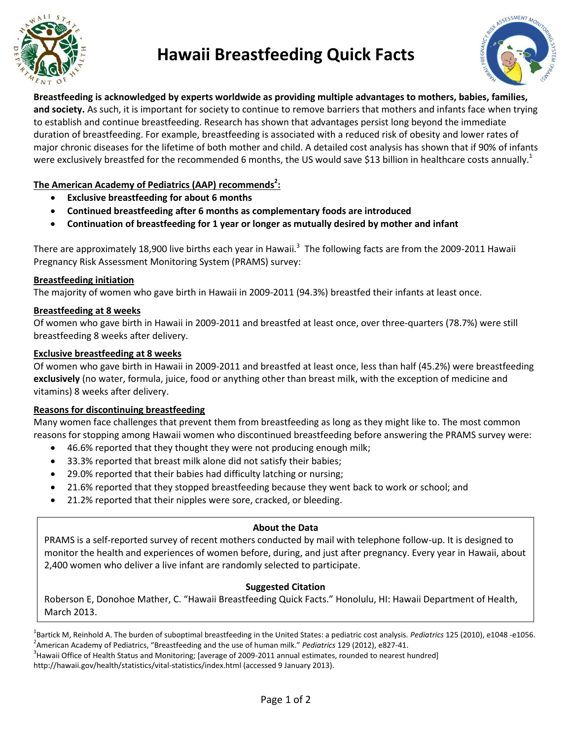

## **Hawaii Breastfeeding Quick Facts**



**Breastfeeding is acknowledged by experts worldwide as providing multiple advantages to mothers, babies, families, and society.** As such, it is important for society to continue to remove barriers that mothers and infants face when trying to establish and continue breastfeeding. Research has shown that advantages persist long beyond the immediate duration of breastfeeding. For example, breastfeeding is associated with a reduced risk of obesity and lower rates of major chronic diseases for the lifetime of both mother and child. A detailed cost analysis has shown that if 90% of infants were exclusively breastfed for the recommended 6 months, the US would save \$13 billion in healthcare costs annually.<sup>1</sup>

## **The American Academy of Pediatrics (AAP) recommends<sup>2</sup> :**

- **Exclusive breastfeeding for about 6 months**
- **Continued breastfeeding after 6 months as complementary foods are introduced**
- **Continuation of breastfeeding for 1 year or longer as mutually desired by mother and infant**

There are approximately 18,900 live births each year in Hawaii.<sup>3</sup> The following facts are from the 2009-2011 Hawaii Pregnancy Risk Assessment Monitoring System (PRAMS) survey:

### **Breastfeeding initiation**

The majority of women who gave birth in Hawaii in 2009-2011 (94.3%) breastfed their infants at least once.

### **Breastfeeding at 8 weeks**

Of women who gave birth in Hawaii in 2009-2011 and breastfed at least once, over three-quarters (78.7%) were still breastfeeding 8 weeks after delivery.

### **Exclusive breastfeeding at 8 weeks**

Of women who gave birth in Hawaii in 2009-2011 and breastfed at least once, less than half (45.2%) were breastfeeding **exclusively** (no water, formula, juice, food or anything other than breast milk, with the exception of medicine and vitamins) 8 weeks after delivery.

### **Reasons for discontinuing breastfeeding**

Many women face challenges that prevent them from breastfeeding as long as they might like to. The most common reasons for stopping among Hawaii women who discontinued breastfeeding before answering the PRAMS survey were:

- 46.6% reported that they thought they were not producing enough milk;
- 33.3% reported that breast milk alone did not satisfy their babies;
- 29.0% reported that their babies had difficulty latching or nursing;
- 21.6% reported that they stopped breastfeeding because they went back to work or school; and
- 21.2% reported that their nipples were sore, cracked, or bleeding.

#### **About the Data**

PRAMS is a self-reported survey of recent mothers conducted by mail with telephone follow-up. It is designed to monitor the health and experiences of women before, during, and just after pregnancy. Every year in Hawaii, about 2,400 women who deliver a live infant are randomly selected to participate.

#### **Suggested Citation**

Roberson E, Donohoe Mather, C. "Hawaii Breastfeeding Quick Facts." Honolulu, HI: Hawaii Department of Health, March 2013.

1 Bartick M, Reinhold A. The burden of suboptimal breastfeeding in the United States: a pediatric cost analysis. *Pediatrics* 125 (2010), e1048 -e1056. 2 American Academy of Pediatrics, "Breastfeeding and the use of human milk." *Pediatrics* 129 (2012), e827-41.

 $3$ Hawaii Office of Health Status and Monitoring; [average of 2009-2011 annual estimates, rounded to nearest hundred] http://hawaii.gov/health/statistics/vital-statistics/index.html (accessed 9 January 2013).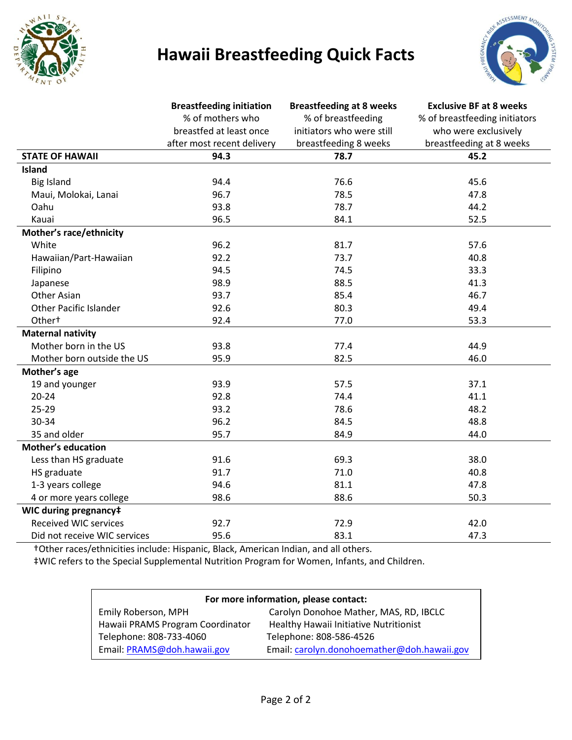

# **Hawaii Breastfeeding Quick Facts**



|                               | <b>Breastfeeding initiation</b> | <b>Breastfeeding at 8 weeks</b> | <b>Exclusive BF at 8 weeks</b> |
|-------------------------------|---------------------------------|---------------------------------|--------------------------------|
|                               | % of mothers who                | % of breastfeeding              | % of breastfeeding initiators  |
|                               | breastfed at least once         | initiators who were still       | who were exclusively           |
|                               | after most recent delivery      | breastfeeding 8 weeks           | breastfeeding at 8 weeks       |
| <b>STATE OF HAWAII</b>        | 94.3                            | 78.7                            | 45.2                           |
| <b>Island</b>                 |                                 |                                 |                                |
| <b>Big Island</b>             | 94.4                            | 76.6                            | 45.6                           |
| Maui, Molokai, Lanai          | 96.7                            | 78.5                            | 47.8                           |
| Oahu                          | 93.8                            | 78.7                            | 44.2                           |
| Kauai                         | 96.5                            | 84.1                            | 52.5                           |
| Mother's race/ethnicity       |                                 |                                 |                                |
| White                         | 96.2                            | 81.7                            | 57.6                           |
| Hawaiian/Part-Hawaiian        | 92.2                            | 73.7                            | 40.8                           |
| Filipino                      | 94.5                            | 74.5                            | 33.3                           |
| Japanese                      | 98.9                            | 88.5                            | 41.3                           |
| <b>Other Asian</b>            | 93.7                            | 85.4                            | 46.7                           |
| <b>Other Pacific Islander</b> | 92.6                            | 80.3                            | 49.4                           |
| Other <sup>+</sup>            | 92.4                            | 77.0                            | 53.3                           |
| <b>Maternal nativity</b>      |                                 |                                 |                                |
| Mother born in the US         | 93.8                            | 77.4                            | 44.9                           |
| Mother born outside the US    | 95.9                            | 82.5                            | 46.0                           |
| Mother's age                  |                                 |                                 |                                |
| 19 and younger                | 93.9                            | 57.5                            | 37.1                           |
| $20 - 24$                     | 92.8                            | 74.4                            | 41.1                           |
| $25 - 29$                     | 93.2                            | 78.6                            | 48.2                           |
| 30-34                         | 96.2                            | 84.5                            | 48.8                           |
| 35 and older                  | 95.7                            | 84.9                            | 44.0                           |
| <b>Mother's education</b>     |                                 |                                 |                                |
| Less than HS graduate         | 91.6                            | 69.3                            | 38.0                           |
| HS graduate                   | 91.7                            | 71.0                            | 40.8                           |
| 1-3 years college             | 94.6                            | 81.1                            | 47.8                           |
| 4 or more years college       | 98.6                            | 88.6                            | 50.3                           |
| WIC during pregnancy‡         |                                 |                                 |                                |
| <b>Received WIC services</b>  | 92.7                            | 72.9                            | 42.0                           |
| Did not receive WIC services  | 95.6                            | 83.1                            | 47.3                           |

†Other races/ethnicities include: Hispanic, Black, American Indian, and all others.

‡WIC refers to the Special Supplemental Nutrition Program for Women, Infants, and Children.

| For more information, please contact: |                                             |  |  |
|---------------------------------------|---------------------------------------------|--|--|
| Emily Roberson, MPH                   | Carolyn Donohoe Mather, MAS, RD, IBCLC      |  |  |
| Hawaii PRAMS Program Coordinator      | Healthy Hawaii Initiative Nutritionist      |  |  |
| Telephone: 808-733-4060               | Telephone: 808-586-4526                     |  |  |
| Email: PRAMS@doh.hawaii.gov           | Email: carolyn.donohoemather@doh.hawaii.gov |  |  |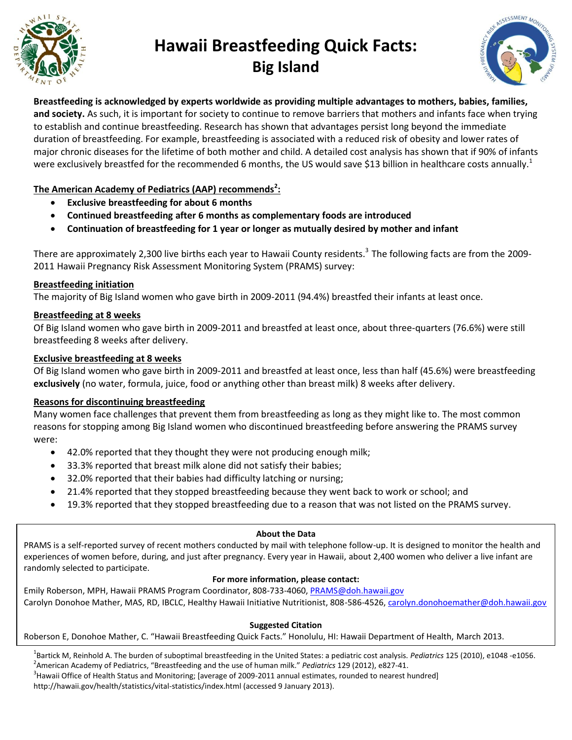

# **Hawaii Breastfeeding Quick Facts: Big Island**



**Breastfeeding is acknowledged by experts worldwide as providing multiple advantages to mothers, babies, families, and society.** As such, it is important for society to continue to remove barriers that mothers and infants face when trying to establish and continue breastfeeding. Research has shown that advantages persist long beyond the immediate duration of breastfeeding. For example, breastfeeding is associated with a reduced risk of obesity and lower rates of major chronic diseases for the lifetime of both mother and child. A detailed cost analysis has shown that if 90% of infants were exclusively breastfed for the recommended 6 months, the US would save \$13 billion in healthcare costs annually.<sup>1</sup>

## **The American Academy of Pediatrics (AAP) recommends<sup>2</sup> :**

- **Exclusive breastfeeding for about 6 months**
- **Continued breastfeeding after 6 months as complementary foods are introduced**
- **Continuation of breastfeeding for 1 year or longer as mutually desired by mother and infant**

There are approximately 2,300 live births each year to Hawaii County residents.<sup>3</sup> The following facts are from the 2009-2011 Hawaii Pregnancy Risk Assessment Monitoring System (PRAMS) survey:

### **Breastfeeding initiation**

The majority of Big Island women who gave birth in 2009-2011 (94.4%) breastfed their infants at least once.

### **Breastfeeding at 8 weeks**

Of Big Island women who gave birth in 2009-2011 and breastfed at least once, about three-quarters (76.6%) were still breastfeeding 8 weeks after delivery.

### **Exclusive breastfeeding at 8 weeks**

Of Big Island women who gave birth in 2009-2011 and breastfed at least once, less than half (45.6%) were breastfeeding **exclusively** (no water, formula, juice, food or anything other than breast milk) 8 weeks after delivery.

#### **Reasons for discontinuing breastfeeding**

Many women face challenges that prevent them from breastfeeding as long as they might like to. The most common reasons for stopping among Big Island women who discontinued breastfeeding before answering the PRAMS survey were:

- 42.0% reported that they thought they were not producing enough milk;
- 33.3% reported that breast milk alone did not satisfy their babies;
- 32.0% reported that their babies had difficulty latching or nursing;
- 21.4% reported that they stopped breastfeeding because they went back to work or school; and
- 19.3% reported that they stopped breastfeeding due to a reason that was not listed on the PRAMS survey.

#### **About the Data**

PRAMS is a self-reported survey of recent mothers conducted by mail with telephone follow-up. It is designed to monitor the health and experiences of women before, during, and just after pregnancy. Every year in Hawaii, about 2,400 women who deliver a live infant are randomly selected to participate.

#### **For more information, please contact:**

Emily Roberson, MPH, Hawaii PRAMS Program Coordinator, 808-733-4060, [PRAMS@doh.hawaii.gov](mailto:PRAMS@doh.hawaii.gov) Carolyn Donohoe Mather, MAS, RD, IBCLC, Healthy Hawaii Initiative Nutritionist, 808-586-4526[, carolyn.donohoemather@doh.hawaii.gov](mailto:carolyn.donohoemather@doh.hawaii.gov)

#### **Suggested Citation**

#### Roberson E, Donohoe Mather, C. "Hawaii Breastfeeding Quick Facts." Honolulu, HI: Hawaii Department of Health, March 2013.

1 Bartick M, Reinhold A. The burden of suboptimal breastfeeding in the United States: a pediatric cost analysis. *Pediatrics* 125 (2010), e1048 -e1056.

2 American Academy of Pediatrics, "Breastfeeding and the use of human milk." *Pediatrics* 129 (2012), e827-41.

<sup>3</sup> Hawaii Office of Health Status and Monitoring; [average of 2009-2011 annual estimates, rounded to nearest hundred]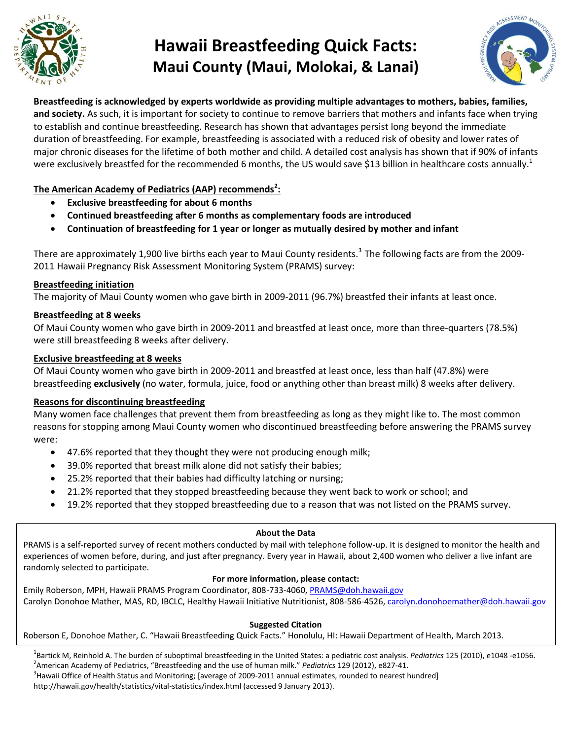

## **Hawaii Breastfeeding Quick Facts: Maui County (Maui, Molokai, & Lanai)**



**Breastfeeding is acknowledged by experts worldwide as providing multiple advantages to mothers, babies, families, and society.** As such, it is important for society to continue to remove barriers that mothers and infants face when trying to establish and continue breastfeeding. Research has shown that advantages persist long beyond the immediate duration of breastfeeding. For example, breastfeeding is associated with a reduced risk of obesity and lower rates of major chronic diseases for the lifetime of both mother and child. A detailed cost analysis has shown that if 90% of infants were exclusively breastfed for the recommended 6 months, the US would save \$13 billion in healthcare costs annually.<sup>1</sup>

## **The American Academy of Pediatrics (AAP) recommends<sup>2</sup> :**

- **Exclusive breastfeeding for about 6 months**
- **Continued breastfeeding after 6 months as complementary foods are introduced**
- **Continuation of breastfeeding for 1 year or longer as mutually desired by mother and infant**

There are approximately 1,900 live births each year to Maui County residents.<sup>3</sup> The following facts are from the 2009-2011 Hawaii Pregnancy Risk Assessment Monitoring System (PRAMS) survey:

### **Breastfeeding initiation**

The majority of Maui County women who gave birth in 2009-2011 (96.7%) breastfed their infants at least once.

### **Breastfeeding at 8 weeks**

Of Maui County women who gave birth in 2009-2011 and breastfed at least once, more than three-quarters (78.5%) were still breastfeeding 8 weeks after delivery.

### **Exclusive breastfeeding at 8 weeks**

Of Maui County women who gave birth in 2009-2011 and breastfed at least once, less than half (47.8%) were breastfeeding **exclusively** (no water, formula, juice, food or anything other than breast milk) 8 weeks after delivery.

#### **Reasons for discontinuing breastfeeding**

Many women face challenges that prevent them from breastfeeding as long as they might like to. The most common reasons for stopping among Maui County women who discontinued breastfeeding before answering the PRAMS survey were:

- 47.6% reported that they thought they were not producing enough milk;
- 39.0% reported that breast milk alone did not satisfy their babies;
- 25.2% reported that their babies had difficulty latching or nursing;
- 21.2% reported that they stopped breastfeeding because they went back to work or school; and
- 19.2% reported that they stopped breastfeeding due to a reason that was not listed on the PRAMS survey.

#### **About the Data**

PRAMS is a self-reported survey of recent mothers conducted by mail with telephone follow-up. It is designed to monitor the health and experiences of women before, during, and just after pregnancy. Every year in Hawaii, about 2,400 women who deliver a live infant are randomly selected to participate.

#### **For more information, please contact:**

Emily Roberson, MPH, Hawaii PRAMS Program Coordinator, 808-733-4060[, PRAMS@doh.hawaii.gov](mailto:PRAMS@doh.hawaii.gov) Carolyn Donohoe Mather, MAS, RD, IBCLC, Healthy Hawaii Initiative Nutritionist, 808-586-4526, [carolyn.donohoemather@doh.hawaii.gov](mailto:carolyn.donohoemather@doh.hawaii.gov)

#### **Suggested Citation**

Roberson E, Donohoe Mather, C. "Hawaii Breastfeeding Quick Facts." Honolulu, HI: Hawaii Department of Health, March 2013.

1 Bartick M, Reinhold A. The burden of suboptimal breastfeeding in the United States: a pediatric cost analysis. *Pediatrics* 125 (2010), e1048 -e1056. 2 American Academy of Pediatrics, "Breastfeeding and the use of human milk." *Pediatrics* 129 (2012), e827-41.

<sup>3</sup> Hawaii Office of Health Status and Monitoring; [average of 2009-2011 annual estimates, rounded to nearest hundred]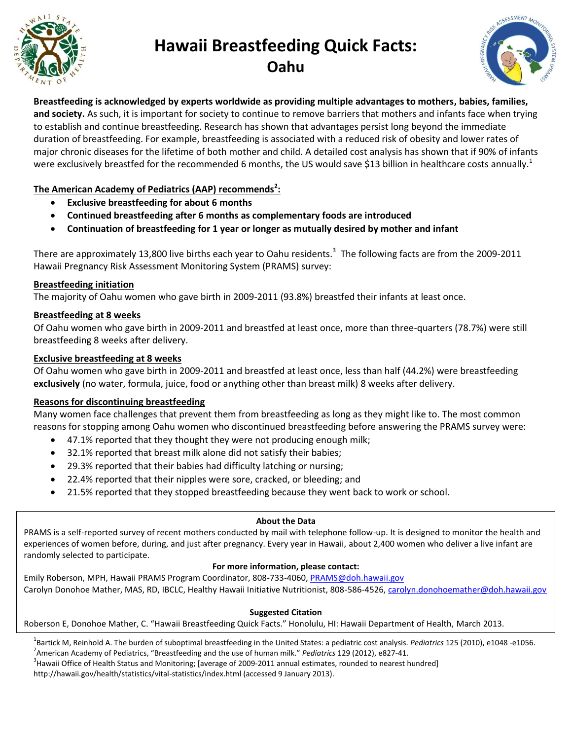

## **Hawaii Breastfeeding Quick Facts: Oahu**



**Breastfeeding is acknowledged by experts worldwide as providing multiple advantages to mothers, babies, families, and society.** As such, it is important for society to continue to remove barriers that mothers and infants face when trying to establish and continue breastfeeding. Research has shown that advantages persist long beyond the immediate duration of breastfeeding. For example, breastfeeding is associated with a reduced risk of obesity and lower rates of major chronic diseases for the lifetime of both mother and child. A detailed cost analysis has shown that if 90% of infants were exclusively breastfed for the recommended 6 months, the US would save \$13 billion in healthcare costs annually.<sup>1</sup>

## **The American Academy of Pediatrics (AAP) recommends<sup>2</sup> :**

- **Exclusive breastfeeding for about 6 months**
- **Continued breastfeeding after 6 months as complementary foods are introduced**
- **Continuation of breastfeeding for 1 year or longer as mutually desired by mother and infant**

There are approximately 13,800 live births each year to Oahu residents.<sup>3</sup> The following facts are from the 2009-2011 Hawaii Pregnancy Risk Assessment Monitoring System (PRAMS) survey:

### **Breastfeeding initiation**

The majority of Oahu women who gave birth in 2009-2011 (93.8%) breastfed their infants at least once.

### **Breastfeeding at 8 weeks**

Of Oahu women who gave birth in 2009-2011 and breastfed at least once, more than three-quarters (78.7%) were still breastfeeding 8 weeks after delivery.

### **Exclusive breastfeeding at 8 weeks**

Of Oahu women who gave birth in 2009-2011 and breastfed at least once, less than half (44.2%) were breastfeeding **exclusively** (no water, formula, juice, food or anything other than breast milk) 8 weeks after delivery.

### **Reasons for discontinuing breastfeeding**

Many women face challenges that prevent them from breastfeeding as long as they might like to. The most common reasons for stopping among Oahu women who discontinued breastfeeding before answering the PRAMS survey were:

- 47.1% reported that they thought they were not producing enough milk;
- 32.1% reported that breast milk alone did not satisfy their babies;
- 29.3% reported that their babies had difficulty latching or nursing;
- 22.4% reported that their nipples were sore, cracked, or bleeding; and
- 21.5% reported that they stopped breastfeeding because they went back to work or school.

#### **About the Data**

PRAMS is a self-reported survey of recent mothers conducted by mail with telephone follow-up. It is designed to monitor the health and experiences of women before, during, and just after pregnancy. Every year in Hawaii, about 2,400 women who deliver a live infant are randomly selected to participate.

#### **For more information, please contact:**

Emily Roberson, MPH, Hawaii PRAMS Program Coordinator, 808-733-4060, [PRAMS@doh.hawaii.gov](mailto:PRAMS@doh.hawaii.gov) Carolyn Donohoe Mather, MAS, RD, IBCLC, Healthy Hawaii Initiative Nutritionist, 808-586-4526[, carolyn.donohoemather@doh.hawaii.gov](mailto:carolyn.donohoemather@doh.hawaii.gov)

#### **Suggested Citation**

Roberson E, Donohoe Mather, C. "Hawaii Breastfeeding Quick Facts." Honolulu, HI: Hawaii Department of Health, March 2013.

1 Bartick M, Reinhold A. The burden of suboptimal breastfeeding in the United States: a pediatric cost analysis. *Pediatrics* 125 (2010), e1048 -e1056. 2 American Academy of Pediatrics, "Breastfeeding and the use of human milk." *Pediatrics* 129 (2012), e827-41.

<sup>3</sup> Hawaii Office of Health Status and Monitoring; [average of 2009-2011 annual estimates, rounded to nearest hundred]